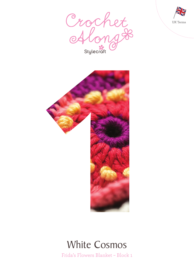





# White Cosmos

Frida's Flowers Blanket – Block 1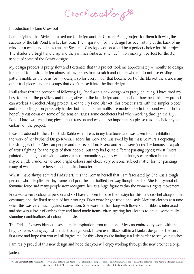Crochet Along &

### Introduction by Jane Crowfoot

I am delighted that Stylecraft asked me to design another Crochet Along project for them following the success of the Lily Pond Blanket last year. The inspiration for the design has been sitting at the back of my mind for a while and I knew that the Stylecraft Classique cotton would be a perfect choice for this project. The shades are bright and crisp and the yarn has fantastic stitch definition making it perfect for the 3D aspect of some of the flower designs.

My design process is pretty slow and I estimate that this project took me approximately 4 months to design from start to finish. I design almost all my pieces from scratch and on the whole I do not use existing pattern motifs as the basis for my design, so for every motif that became part of the blanket there are many other trial pieces and test scraps that didn't make it into the final design.

I will admit that the prospect of following Lily Pond with a new design was pretty daunting. I have tried my best to look at the positives and the negatives of the last design and think about how best this new project can work as a Crochet Along project. Like the Lily Pond Blanket, this project starts with the simpler pieces and the motifs get progressively harder, but this time the motifs are made solely in the round which should hopefully cut down on some of the tension issues some crocheters had when working through the Lily Pond. I have written a long piece about tension and why it is so important so please read this before you embark on the project.

I was introduced to the art of Frida Kahlo when I was in my late teens and was taken to an exhibition of the work of her husband Diego Rivera. I adore his work and was awed by his massive murals depicting the struggles of the Mexican people and the revolution. Rivera and Frida were incredibly famous as a pair of artists fighting for the rights of their people, but they had quite different painting styles; whilst Rivera painted on a huge scale with a watery, almost romantic style, his wife's paintings were often brutal and maybe a little crude. Kahlo used bright colours and chose very personal subject matter for her paintings, many of which feature herself as the main character.

Whilst I have always admired Frida's art, it is the woman herself that I am fascinated by. She was a tough person, who, despite her tiny frame and poor health, battled her way though her life. She is a symbol of feminine force and many people now recognize her as a huge figure within the women's rights movement.

Frida was a very colourful person and so I have chosen to base the design for this new crochet along on her costumes and the floral aspect of her paintings. Frida wore bright traditional style Mexican clothes at a time when this was very much against convention. She wore her hair long with flowers and ribbons interlaced and she was a lover of embroidery and hand made items, often layering her clothes to create some really stunning combinations of colour and style.

The Frida's Flowers blanket takes its main inspiration from traditional Mexican embroidery work with the bright shades sitting against the dark back ground. I have used Black within a blanket design for the very first time and hope that you will all forgive me for this when you're finding it a little harder to see your stitches!

I am really proud of this new design and hope that you will enjoy working through the new crochet along.

Janie x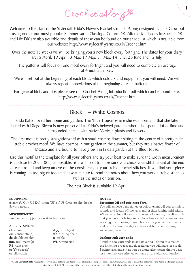1

Welcome to the start of the Stylecraft Frida's Flowers Blanket Crochet Along designed by Jane Crowfoot using one of our most popular Summer yarns Classique Cotton DK. Alternative shades in Special DK and Life DK are also available and details of these can be found on our shade list which is available from our website: http://www.stylecraft-yarns.co.uk/Crochet.htm

Over the next 15 weeks we will be bringing you a new block every fortnight. The dates for your diary are: 5 April, 19 April, 3 May, 17 May, 31 May, 14 June, 28 June and 12 July.

The patterns will focus on one motif every fortnight and you will need to complete an average of 4 motifs per set.

We will set out at the beginning of each block which colours and equipment you will need. We will always repeat abbreviations at the beginning of each pattern.

For general hints and tips please see our Crochet Along Introduction pdf which can be found here: http://www.stylecraft-yarns.co.uk/Crochet.htm

## Block 1 – White Cosmos

Frida Kahlo loved her home and garden. The 'Blue House' where she was born and that she later shared with Diego Rivera is now preserved as Frida's beloved gardens where she spent a lot of time and surrounded herself with native Mexican plants and flowers.

The first motif is pretty straightforward with a small cosmos flower sitting at the centre of a pretty plain treble crochet motif. We have cosmos in our garden in the summer, but they are a native flower of Mexico and are bound to have grown in Frida's garden at the Blue House.

Use this motif as the template for all your others and try your best to make sure the width measurement is as close to 20cm (8in) as possible. You will need to make sure you check your stitch count at the end of each round and keep an eye on the consistency of your treble crochet stitches. If you find your piece is coming up too big or too small take a minute to read the notes about how you work a treble stitch as well as the notes on tension.

The next Block is available 19 April.

| <b>NOTES:</b><br>Fastening Off and rejoining Yarn<br>You will achieve a much neater colour change if you complete<br>rounds and fasten off the yarn, rather than joining mid stitch.<br>When fastening off a yarn at the end of a round, the slip stitch<br>that you have made to join can look like a stitch when you are<br>working the following round. Make sure you count correctly |
|------------------------------------------------------------------------------------------------------------------------------------------------------------------------------------------------------------------------------------------------------------------------------------------------------------------------------------------------------------------------------------------|
| and do not count the slip stitch as a stitch when working                                                                                                                                                                                                                                                                                                                                |
| subsequent rounds.                                                                                                                                                                                                                                                                                                                                                                       |
|                                                                                                                                                                                                                                                                                                                                                                                          |
| Dealing with yarn ends                                                                                                                                                                                                                                                                                                                                                                   |
| I tend to sew yarn ends in as I go along - doing this makes<br>the finishing process much easier as you will have less to do.<br>Sewing yarn ends in as you go along also means that you are<br>less likely to lose stitches or make errors with your tension.                                                                                                                           |
|                                                                                                                                                                                                                                                                                                                                                                                          |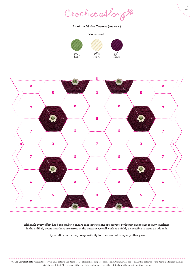Crochet Along #

#### **Block 1 – White Cosmos (make 4)**

#### **Yarns used:**

 Ivory







**Although every effort has been made to ensure that instructions are correct, Stylecraft cannot accept any liabilities. In the unlikely event that there are errors in the patterns we will work as quickly as possible to issue an addenda.**

**Stylecraft cannot accept responsibility for the result of using any other yarn.**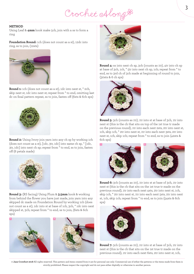Crochet Alongt

#### **METHOD**

Using Leaf & **4mm** hook make 5ch, join with a ss to form a ring

**Foundation Round:** 1ch (does not count as a st), 12dc into ring, ss to join, (12sts)



**Round 1:** 1ch (does not count as a st), 1dc into next st, \* 2ch, skip next st, 1dc into next st; repeat from \* to end, omitting last dc on final pattern repeat, ss to join, fasten off (6sts & 6ch sps)



**Round 2:** Using Ivory join yarn into any ch sp by working 1ch (does not count as a st), [1dc, 3tr, 1dc] into same ch sp, \* [1dc, 3tr, 1dc] into next ch sp; repeat from \* to end, ss to join, fasten off (6 petals made)



**Round 3:** (RS facing) Using Plum & **3.5mm** hook & working from behind the flower you have just made, join yarn into any skipped dc made on Foundation Round by working 1ch (does not count as a st), 1dc into st at base of 1ch, 3ch, \* 1dc into next skipped st, 3ch; repeat from \* to end, ss to join, (6sts & 6ch sps)





**Round 4:** ss into next ch sp, 3ch (counts as 1tr), 4tr into ch sp at base of 3ch, 1ch, \* 5tr into next ch sp, 1ch; repeat from \* to end, ss to 3rd ch of 3ch made at beginning of round to join, (30sts & 6 ch sps)



**Round 5:** 3ch (counts as 1tr), 1tr into st at base of 3ch, 1tr into next st (this is the ch that sits on top of the 1st true tr made on the previous round), 1tr into each next 2sts, 2tr into next st, 1ch, skip 1ch, \* 2tr into next st, 1tr into each next 3sts, 2tr into next st, 1ch, skip 1ch; repeat from \* to end, ss to join (42sts & 6ch sps)



**Round 6:** 3ch (counts as 1tr), 1tr into st at base of 3ch, 1tr into next st (this is the ch that sits on the 1st true tr made on the previous round), 1tr into each next 4sts, 2tr into next st, 1ch, skip 1ch, \* 2tr into next st, 1tr into each next 5sts, 2tr into next st, 1ch, skip 1ch; repeat from \* to end, ss to join (54sts & 6ch sps)



**Round 7:** 3ch (counts as 1tr), 1tr into st at base of 3ch, 1tr into next st (this is the ch that sits on the 1st true tr made on the previous round), 1tr into each next 6sts, 2tr into next st, 1ch,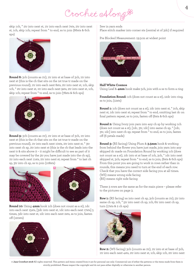Crochet Along &

skip 1ch, \* 2tr into next st, 1tr into each next 7sts, 2tr into next st, 1ch, skip 1ch; repeat from \* to end, ss to join (66sts & 6ch sps)



**Round 8:** 3ch (counts as 1tr), 1tr into st at base of 3ch, 1tr into next st (this is the ch that sits on the 1st true tr made on the previous round), 1tr into each next 8sts, 2tr into next st, 1ch, skip 1ch, \* 2tr into next st, 1tr into each next 9sts, 2tr into next st, 1ch, skip 1ch; repeat from \* to end, ss to join (78sts & 6ch sps)



**Round 9:** 3ch (counts as 1tr), 1tr into st at base of 3ch, 1tr into next st (this is the ch that sits on the 1st true tr made on the previous round), 1tr into each next 10sts, 2tr into next st, \* 3tr into next ch sp, 2tr into next st (this is the ch that leads into the next tr & sits above it – it might be difficult to see as part of it may be covered by the 3tr you have just made into the ch sp), 1tr into each next 11sts, 2tr into next st; repeat from \* to last ch sp, 3tr into ch sp, ss to join (108sts)



**Round 10:** Using **4mm** hook 1ch (does not count as a st), 1dc into each next 15sts, [3dc into next st, 1dc into each next 17sts] 5 times, 3dc into next st, 1dc into each next 2sts, ss to join, fasten off (120sts)



#### Sew in yarn ends

Place stitch marker into corner sts (central st of 3dc) if required

Pre Blocked Measurement: 19.5cm at widest point



#### **Half White Cosmos**

Using Leaf & **4mm** hook make 5ch, join with a ss to form a ring

**Foundation Round:** 1ch (does not count as a st), 12dc into ring, ss to join, (12sts)

**Round 1:** 1ch (does not count as a st), 1dc into next st, \* 2ch, skip next st, 1dc into next st; repeat from \* to end, omitting last dc on final pattern repeat, ss to join, fasten off (6sts & 6ch sps)

**Round 2:** Using Ivory join yarn into any ch sp by working 1ch (does not count as a st), [1dc, 3tr, 1dc] into same ch sp, \* [1dc, 3tr, 1dc] into next ch sp; repeat from \* to end, ss to join, fasten off (6 petals made)

**Round 3:** (RS facing) Using Plum & **3.5mm** hook & working from behind the flower you have just made, join yarn into any skipped dc made on Foundation Round by working 1ch (does not count as a st), 1dc into st at base of 1ch, 3ch, \* 1dc into next skipped st, 3ch; repeat from \* to end, ss to join, (6sts & 6ch sps) From this point you are going to work in rows rather than in rounds, this means you need to turn at the end of each row. Check that you have the correct side facing you at all times. (WS) means wrong side facing (RS) means right side facing

These 3 rows are the same as for the main piece – please refer to the pictures on page 3.

**Row 1:** (RS facing) ss into next ch sp, 3ch (counts as 1tr), 5tr into same ch sp, 1ch, \* 5tr into next ch sp, 1ch, 6tr into next ch sp, turn (17sts & 2 ch sps)



**Row 2:** (WS facing) 3ch (counts as 1tr), 1tr into st at base of 3ch, 1tr into each next 4sts, 2tr into next st, 1ch, skip 1ch, 2tr into next